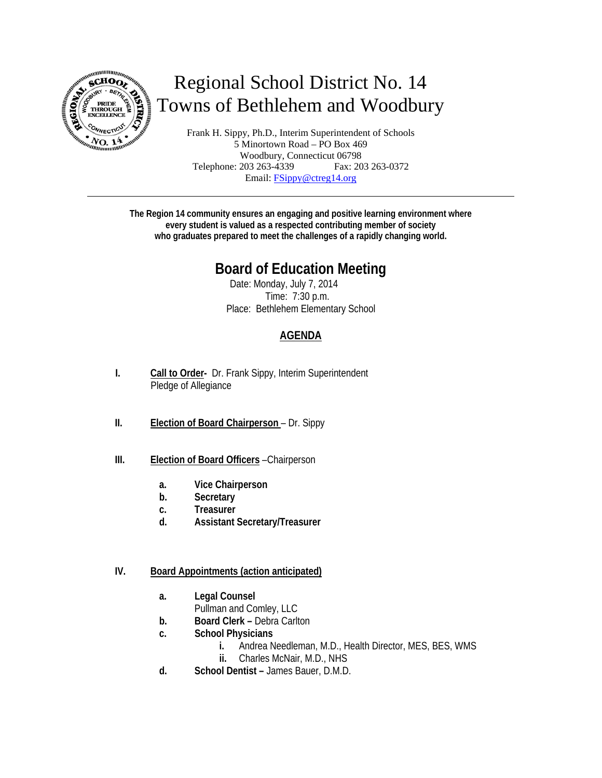

# Regional School District No. 14 Towns of Bethlehem and Woodbury

Frank H. Sippy, Ph.D., Interim Superintendent of Schools 5 Minortown Road – PO Box 469 Woodbury, Connecticut 06798 Telephone: 203 263-4339 Fax: 203 263-0372 Email: FSippy@ctreg14.org

**The Region 14 community ensures an engaging and positive learning environment where every student is valued as a respected contributing member of society who graduates prepared to meet the challenges of a rapidly changing world.** 

# **Board of Education Meeting**

Date: Monday, July 7, 2014 Time: 7:30 p.m. Place: Bethlehem Elementary School

# **AGENDA**

- **I. Call to Order-** Dr. Frank Sippy, Interim Superintendent Pledge of Allegiance
- **II. Election of Board Chairperson**  Dr. Sippy
- **III. Election of Board Officers** –Chairperson
	- **a. Vice Chairperson**
	- **b. Secretary**
	- **c. Treasurer**
	- **d. Assistant Secretary/Treasurer**

#### **IV. Board Appointments (action anticipated)**

- **a. Legal Counsel** 
	- Pullman and Comley, LLC
- **b. Board Clerk** Debra Carlton
- **c. School Physicians**
	- **i.** Andrea Needleman, M.D., Health Director, MES, BES, WMS
	- **ii.** Charles McNair, M.D., NHS
- **d. School Dentist** James Bauer, D.M.D.